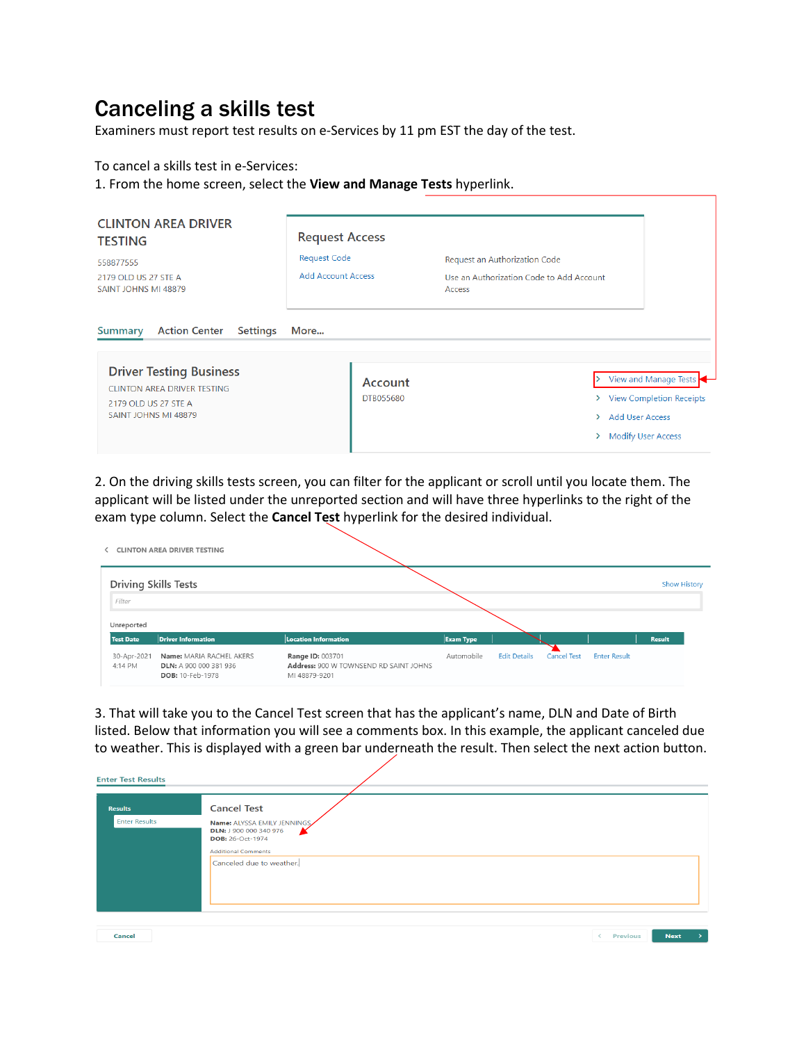## Canceling a skills test

Examiners must report test results on e-Services by 11 pm EST the day of the test.

To cancel a skills test in e-Services:

1. From the home screen, select the **View and Manage Tests** hyperlink.

| <b>CLINTON AREA DRIVER</b><br><b>TESTING</b><br>558877555<br>2179 OLD US 27 STE A<br>SAINT JOHNS MI 48879                                                                         | <b>Request Access</b><br><b>Request Code</b><br><b>Add Account Access</b> | Request an Authorization Code<br>Use an Authorization Code to Add Account<br>Access |                                                                                  |
|-----------------------------------------------------------------------------------------------------------------------------------------------------------------------------------|---------------------------------------------------------------------------|-------------------------------------------------------------------------------------|----------------------------------------------------------------------------------|
| <b>Action Center</b><br><b>Settings</b><br><b>Summary</b><br><b>Driver Testing Business</b><br><b>CLINTON AREA DRIVER TESTING</b><br>2179 OLD US 27 STE A<br>SAINT JOHNS MI 48879 | More<br>Account<br>DTB055680                                              | $\rightarrow$<br><b>Add User Access</b><br>><br>⋋                                   | View and Manage Tests<br>> View Completion Receipts<br><b>Modify User Access</b> |

2. On the driving skills tests screen, you can filter for the applicant or scroll until you locate them. The applicant will be listed under the unreported section and will have three hyperlinks to the right of the exam type column. Select the **Cancel Test** hyperlink for the desired individual.

|                             | <b>CLINTON AREA DRIVER TESTING</b>                                            |                                                                             |                  |                     |                    |                     |                     |
|-----------------------------|-------------------------------------------------------------------------------|-----------------------------------------------------------------------------|------------------|---------------------|--------------------|---------------------|---------------------|
| <b>Driving Skills Tests</b> |                                                                               |                                                                             |                  |                     |                    |                     | <b>Show History</b> |
| Filter<br>Unreported        |                                                                               |                                                                             |                  |                     |                    |                     |                     |
| <b>Test Date</b>            | <b>Driver Information</b>                                                     | <b>Location Information</b>                                                 | <b>Exam Type</b> |                     |                    |                     | <b>Result</b>       |
| 30-Apr-2021<br>4:14 PM      | Name: MARIA RACHEL AKERS<br><b>DLN: A 900 000 381 936</b><br>DOB: 10-Feb-1978 | Range ID: 003701<br>Address: 900 W TOWNSEND RD SAINT JOHNS<br>MI 48879-9201 | Automobile       | <b>Edit Details</b> | <b>Cancel Test</b> | <b>Enter Result</b> |                     |

3. That will take you to the Cancel Test screen that has the applicant's name, DLN and Date of Birth listed. Below that information you will see a comments box. In this example, the applicant canceled due to weather. This is displayed with a green bar underneath the result. Then select the next action button.

| <b>Enter Test Results</b>              |                                                                                                                                                           |                 |             |  |
|----------------------------------------|-----------------------------------------------------------------------------------------------------------------------------------------------------------|-----------------|-------------|--|
| <b>Results</b><br><b>Enter Results</b> | <b>Cancel Test</b><br>Name: ALYSSA EMILY JENNINGS<br>DLN: J 900 000 340 976<br>DOB: 26-Oct-1974<br><b>Additional Comments</b><br>Canceled due to weather. |                 |             |  |
| Cancel                                 |                                                                                                                                                           | <b>Previous</b> | <b>Next</b> |  |